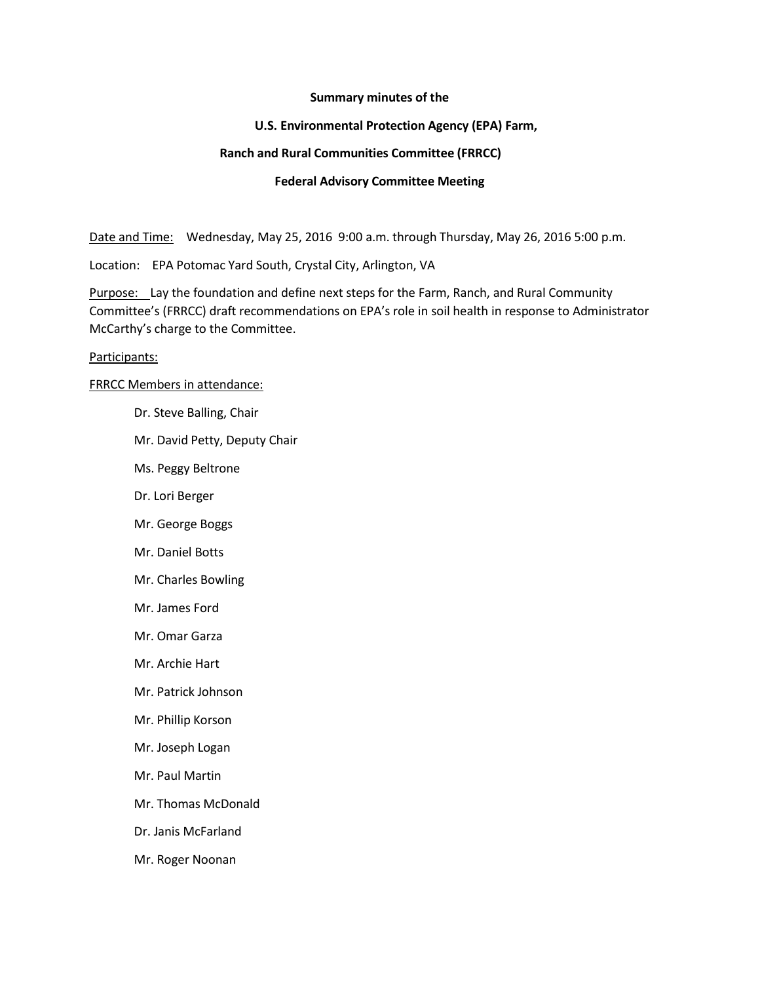### **Summary minutes of the**

### **U.S. Environmental Protection Agency (EPA) Farm,**

### **Ranch and Rural Communities Committee (FRRCC)**

### **Federal Advisory Committee Meeting**

Date and Time: Wednesday, May 25, 2016 9:00 a.m. through Thursday, May 26, 2016 5:00 p.m.

Location: EPA Potomac Yard South, Crystal City, Arlington, VA

Purpose: Lay the foundation and define next steps for the Farm, Ranch, and Rural Community Committee's (FRRCC) draft recommendations on EPA's role in soil health in response to Administrator McCarthy's charge to the Committee.

#### Participants:

### FRRCC Members in attendance:

- Dr. Steve Balling, Chair
- Mr. David Petty, Deputy Chair
- Ms. Peggy Beltrone
- Dr. Lori Berger
- Mr. George Boggs
- Mr. Daniel Botts
- Mr. Charles Bowling
- Mr. James Ford
- Mr. Omar Garza
- Mr. Archie Hart
- Mr. Patrick Johnson
- Mr. Phillip Korson
- Mr. Joseph Logan
- Mr. Paul Martin
- Mr. Thomas McDonald
- Dr. Janis McFarland
- Mr. Roger Noonan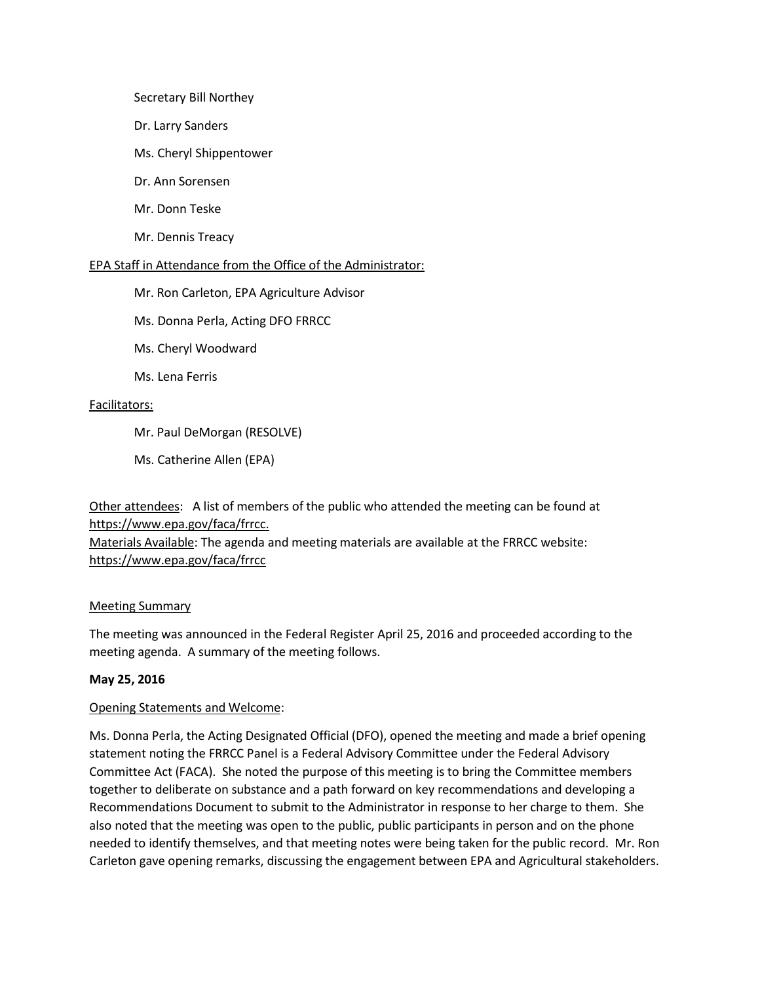### Secretary Bill Northey

- Dr. Larry Sanders
- Ms. Cheryl Shippentower
- Dr. Ann Sorensen
- Mr. Donn Teske
- Mr. Dennis Treacy

### EPA Staff in Attendance from the Office of the Administrator:

- Mr. Ron Carleton, EPA Agriculture Advisor
- Ms. Donna Perla, Acting DFO FRRCC
- Ms. Cheryl Woodward
- Ms. Lena Ferris

### Facilitators:

- Mr. Paul DeMorgan (RESOLVE)
- Ms. Catherine Allen (EPA)

Other attendees: A list of members of the public who attended the meeting can be found at [https://www.epa.gov/faca/frrcc.](https://www.epa.gov/faca/frrcc)

Materials Available: The agenda and meeting materials are available at the FRRCC website: <https://www.epa.gov/faca/frrcc>

## Meeting Summary

The meeting was announced in the Federal Register April 25, 2016 and proceeded according to the meeting agenda. A summary of the meeting follows.

## **May 25, 2016**

## Opening Statements and Welcome:

Ms. Donna Perla, the Acting Designated Official (DFO), opened the meeting and made a brief opening statement noting the FRRCC Panel is a Federal Advisory Committee under the Federal Advisory Committee Act (FACA). She noted the purpose of this meeting is to bring the Committee members together to deliberate on substance and a path forward on key recommendations and developing a Recommendations Document to submit to the Administrator in response to her charge to them. She also noted that the meeting was open to the public, public participants in person and on the phone needed to identify themselves, and that meeting notes were being taken for the public record. Mr. Ron Carleton gave opening remarks, discussing the engagement between EPA and Agricultural stakeholders.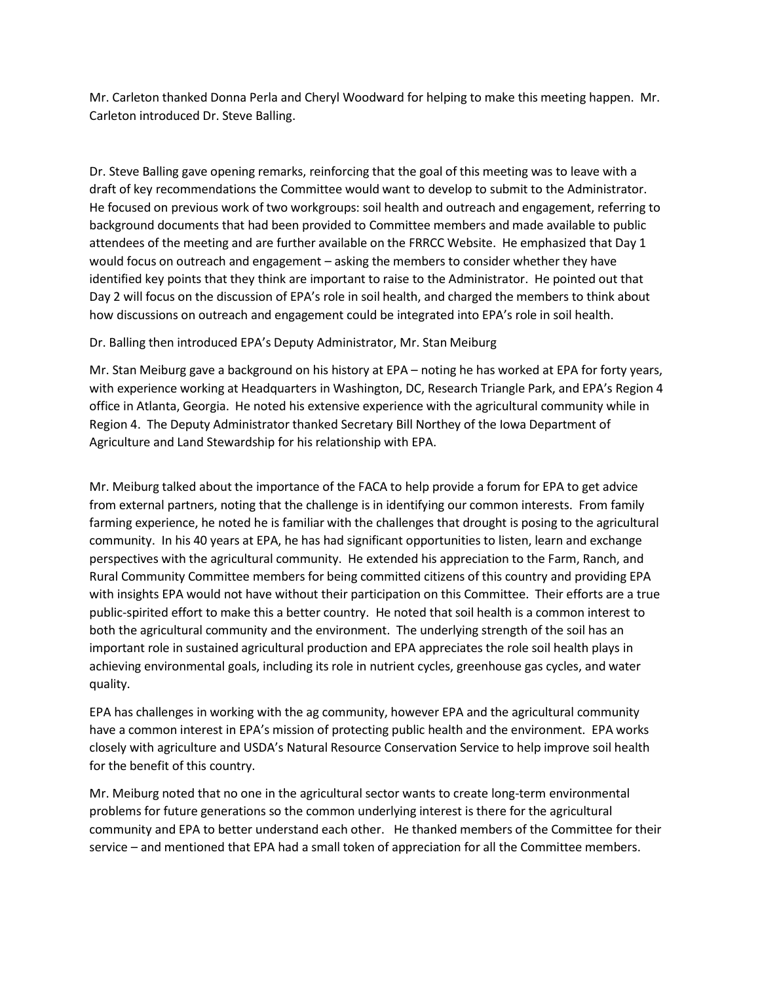Mr. Carleton thanked Donna Perla and Cheryl Woodward for helping to make this meeting happen. Mr. Carleton introduced Dr. Steve Balling.

Dr. Steve Balling gave opening remarks, reinforcing that the goal of this meeting was to leave with a draft of key recommendations the Committee would want to develop to submit to the Administrator. He focused on previous work of two workgroups: soil health and outreach and engagement, referring to background documents that had been provided to Committee members and made available to public attendees of the meeting and are further available on the FRRCC Website. He emphasized that Day 1 would focus on outreach and engagement – asking the members to consider whether they have identified key points that they think are important to raise to the Administrator. He pointed out that Day 2 will focus on the discussion of EPA's role in soil health, and charged the members to think about how discussions on outreach and engagement could be integrated into EPA's role in soil health.

## Dr. Balling then introduced EPA's Deputy Administrator, Mr. Stan Meiburg

Mr. Stan Meiburg gave a background on his history at EPA – noting he has worked at EPA for forty years, with experience working at Headquarters in Washington, DC, Research Triangle Park, and EPA's Region 4 office in Atlanta, Georgia. He noted his extensive experience with the agricultural community while in Region 4. The Deputy Administrator thanked Secretary Bill Northey of the Iowa Department of Agriculture and Land Stewardship for his relationship with EPA.

Mr. Meiburg talked about the importance of the FACA to help provide a forum for EPA to get advice from external partners, noting that the challenge is in identifying our common interests. From family farming experience, he noted he is familiar with the challenges that drought is posing to the agricultural community. In his 40 years at EPA, he has had significant opportunities to listen, learn and exchange perspectives with the agricultural community. He extended his appreciation to the Farm, Ranch, and Rural Community Committee members for being committed citizens of this country and providing EPA with insights EPA would not have without their participation on this Committee. Their efforts are a true public-spirited effort to make this a better country. He noted that soil health is a common interest to both the agricultural community and the environment. The underlying strength of the soil has an important role in sustained agricultural production and EPA appreciates the role soil health plays in achieving environmental goals, including its role in nutrient cycles, greenhouse gas cycles, and water quality.

EPA has challenges in working with the ag community, however EPA and the agricultural community have a common interest in EPA's mission of protecting public health and the environment. EPA works closely with agriculture and USDA's Natural Resource Conservation Service to help improve soil health for the benefit of this country.

Mr. Meiburg noted that no one in the agricultural sector wants to create long-term environmental problems for future generations so the common underlying interest is there for the agricultural community and EPA to better understand each other. He thanked members of the Committee for their service – and mentioned that EPA had a small token of appreciation for all the Committee members.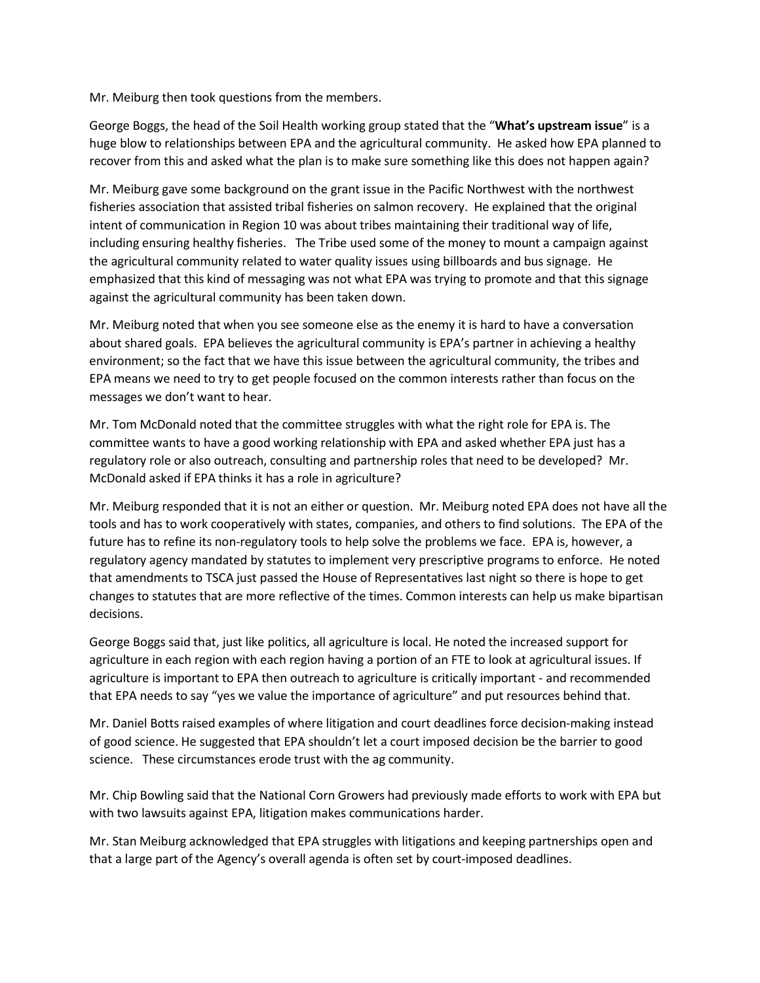Mr. Meiburg then took questions from the members.

George Boggs, the head of the Soil Health working group stated that the "**What's upstream issue**" is a huge blow to relationships between EPA and the agricultural community. He asked how EPA planned to recover from this and asked what the plan is to make sure something like this does not happen again?

Mr. Meiburg gave some background on the grant issue in the Pacific Northwest with the northwest fisheries association that assisted tribal fisheries on salmon recovery. He explained that the original intent of communication in Region 10 was about tribes maintaining their traditional way of life, including ensuring healthy fisheries. The Tribe used some of the money to mount a campaign against the agricultural community related to water quality issues using billboards and bus signage. He emphasized that this kind of messaging was not what EPA was trying to promote and that this signage against the agricultural community has been taken down.

Mr. Meiburg noted that when you see someone else as the enemy it is hard to have a conversation about shared goals. EPA believes the agricultural community is EPA's partner in achieving a healthy environment; so the fact that we have this issue between the agricultural community, the tribes and EPA means we need to try to get people focused on the common interests rather than focus on the messages we don't want to hear.

Mr. Tom McDonald noted that the committee struggles with what the right role for EPA is. The committee wants to have a good working relationship with EPA and asked whether EPA just has a regulatory role or also outreach, consulting and partnership roles that need to be developed? Mr. McDonald asked if EPA thinks it has a role in agriculture?

Mr. Meiburg responded that it is not an either or question. Mr. Meiburg noted EPA does not have all the tools and has to work cooperatively with states, companies, and others to find solutions. The EPA of the future has to refine its non-regulatory tools to help solve the problems we face. EPA is, however, a regulatory agency mandated by statutes to implement very prescriptive programs to enforce. He noted that amendments to TSCA just passed the House of Representatives last night so there is hope to get changes to statutes that are more reflective of the times. Common interests can help us make bipartisan decisions.

George Boggs said that, just like politics, all agriculture is local. He noted the increased support for agriculture in each region with each region having a portion of an FTE to look at agricultural issues. If agriculture is important to EPA then outreach to agriculture is critically important - and recommended that EPA needs to say "yes we value the importance of agriculture" and put resources behind that.

Mr. Daniel Botts raised examples of where litigation and court deadlines force decision-making instead of good science. He suggested that EPA shouldn't let a court imposed decision be the barrier to good science. These circumstances erode trust with the ag community.

Mr. Chip Bowling said that the National Corn Growers had previously made efforts to work with EPA but with two lawsuits against EPA, litigation makes communications harder.

Mr. Stan Meiburg acknowledged that EPA struggles with litigations and keeping partnerships open and that a large part of the Agency's overall agenda is often set by court-imposed deadlines.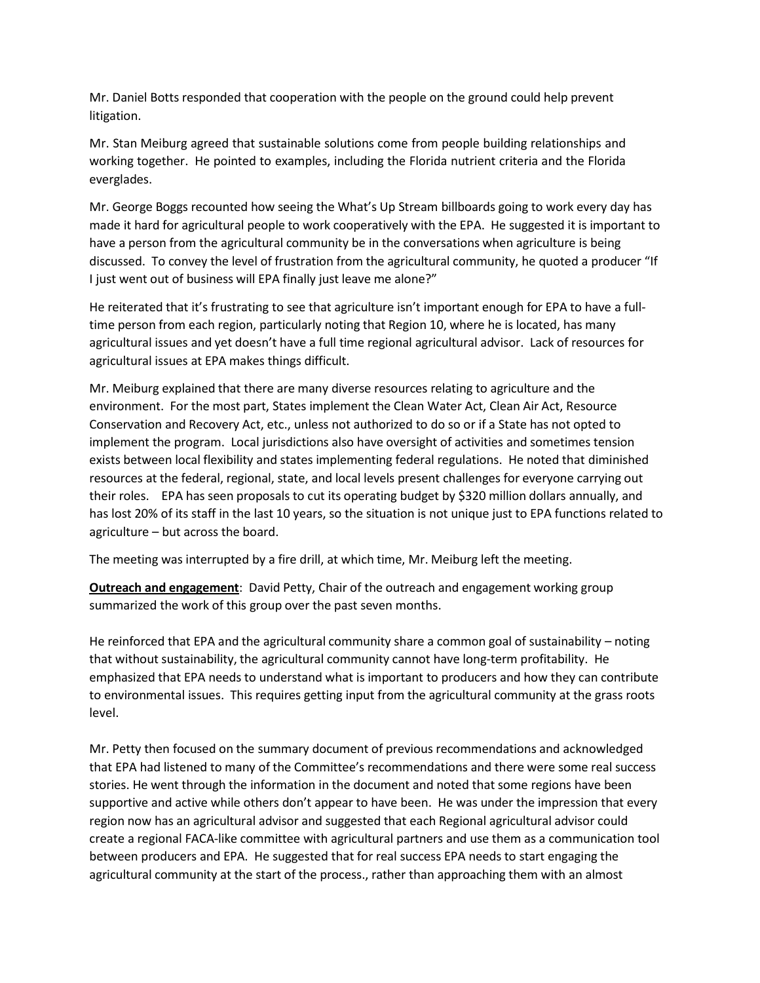Mr. Daniel Botts responded that cooperation with the people on the ground could help prevent litigation.

Mr. Stan Meiburg agreed that sustainable solutions come from people building relationships and working together. He pointed to examples, including the Florida nutrient criteria and the Florida everglades.

Mr. George Boggs recounted how seeing the What's Up Stream billboards going to work every day has made it hard for agricultural people to work cooperatively with the EPA. He suggested it is important to have a person from the agricultural community be in the conversations when agriculture is being discussed. To convey the level of frustration from the agricultural community, he quoted a producer "If I just went out of business will EPA finally just leave me alone?"

He reiterated that it's frustrating to see that agriculture isn't important enough for EPA to have a fulltime person from each region, particularly noting that Region 10, where he is located, has many agricultural issues and yet doesn't have a full time regional agricultural advisor. Lack of resources for agricultural issues at EPA makes things difficult.

Mr. Meiburg explained that there are many diverse resources relating to agriculture and the environment. For the most part, States implement the Clean Water Act, Clean Air Act, Resource Conservation and Recovery Act, etc., unless not authorized to do so or if a State has not opted to implement the program. Local jurisdictions also have oversight of activities and sometimes tension exists between local flexibility and states implementing federal regulations. He noted that diminished resources at the federal, regional, state, and local levels present challenges for everyone carrying out their roles. EPA has seen proposals to cut its operating budget by \$320 million dollars annually, and has lost 20% of its staff in the last 10 years, so the situation is not unique just to EPA functions related to agriculture – but across the board.

The meeting was interrupted by a fire drill, at which time, Mr. Meiburg left the meeting.

**Outreach and engagement**: David Petty, Chair of the outreach and engagement working group summarized the work of this group over the past seven months.

He reinforced that EPA and the agricultural community share a common goal of sustainability – noting that without sustainability, the agricultural community cannot have long-term profitability. He emphasized that EPA needs to understand what is important to producers and how they can contribute to environmental issues. This requires getting input from the agricultural community at the grass roots level.

Mr. Petty then focused on the summary document of previous recommendations and acknowledged that EPA had listened to many of the Committee's recommendations and there were some real success stories. He went through the information in the document and noted that some regions have been supportive and active while others don't appear to have been. He was under the impression that every region now has an agricultural advisor and suggested that each Regional agricultural advisor could create a regional FACA-like committee with agricultural partners and use them as a communication tool between producers and EPA. He suggested that for real success EPA needs to start engaging the agricultural community at the start of the process., rather than approaching them with an almost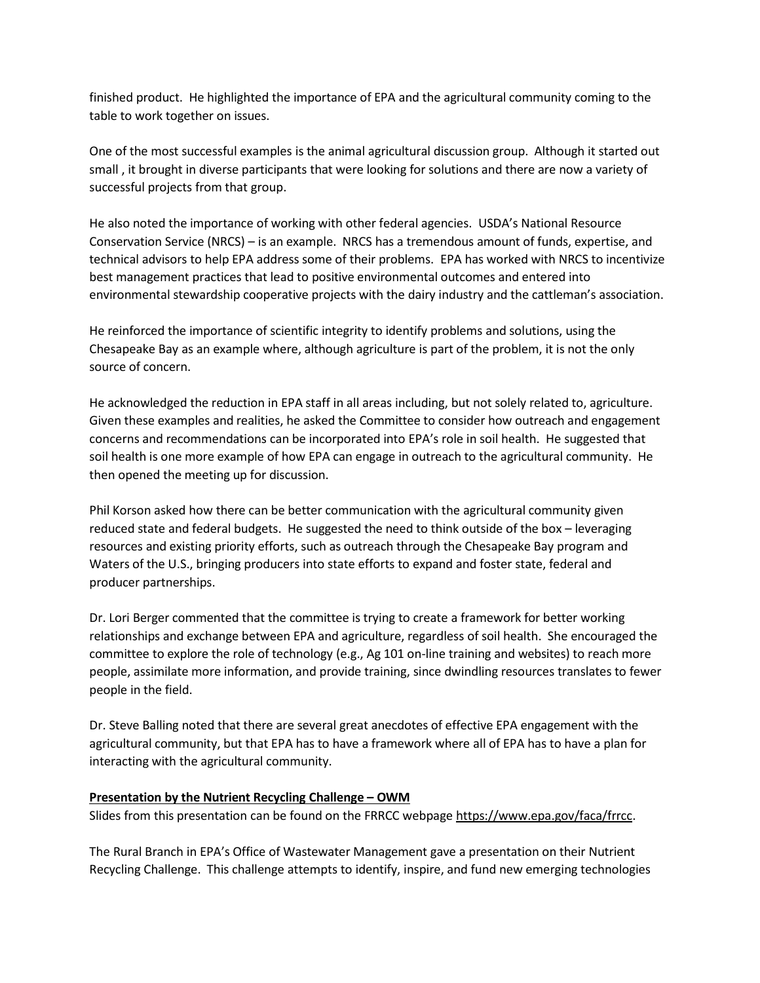finished product. He highlighted the importance of EPA and the agricultural community coming to the table to work together on issues.

One of the most successful examples is the animal agricultural discussion group. Although it started out small , it brought in diverse participants that were looking for solutions and there are now a variety of successful projects from that group.

He also noted the importance of working with other federal agencies. USDA's National Resource Conservation Service (NRCS) – is an example. NRCS has a tremendous amount of funds, expertise, and technical advisors to help EPA address some of their problems. EPA has worked with NRCS to incentivize best management practices that lead to positive environmental outcomes and entered into environmental stewardship cooperative projects with the dairy industry and the cattleman's association.

He reinforced the importance of scientific integrity to identify problems and solutions, using the Chesapeake Bay as an example where, although agriculture is part of the problem, it is not the only source of concern.

He acknowledged the reduction in EPA staff in all areas including, but not solely related to, agriculture. Given these examples and realities, he asked the Committee to consider how outreach and engagement concerns and recommendations can be incorporated into EPA's role in soil health. He suggested that soil health is one more example of how EPA can engage in outreach to the agricultural community. He then opened the meeting up for discussion.

Phil Korson asked how there can be better communication with the agricultural community given reduced state and federal budgets. He suggested the need to think outside of the box – leveraging resources and existing priority efforts, such as outreach through the Chesapeake Bay program and Waters of the U.S., bringing producers into state efforts to expand and foster state, federal and producer partnerships.

Dr. Lori Berger commented that the committee is trying to create a framework for better working relationships and exchange between EPA and agriculture, regardless of soil health. She encouraged the committee to explore the role of technology (e.g., Ag 101 on-line training and websites) to reach more people, assimilate more information, and provide training, since dwindling resources translates to fewer people in the field.

Dr. Steve Balling noted that there are several great anecdotes of effective EPA engagement with the agricultural community, but that EPA has to have a framework where all of EPA has to have a plan for interacting with the agricultural community.

## **Presentation by the Nutrient Recycling Challenge – OWM**

Slides from this presentation can be found on the FRRCC webpage [https://www.epa.gov/faca/frrcc.](https://www.epa.gov/faca/frrcc)

The Rural Branch in EPA's Office of Wastewater Management gave a presentation on their Nutrient Recycling Challenge. This challenge attempts to identify, inspire, and fund new emerging technologies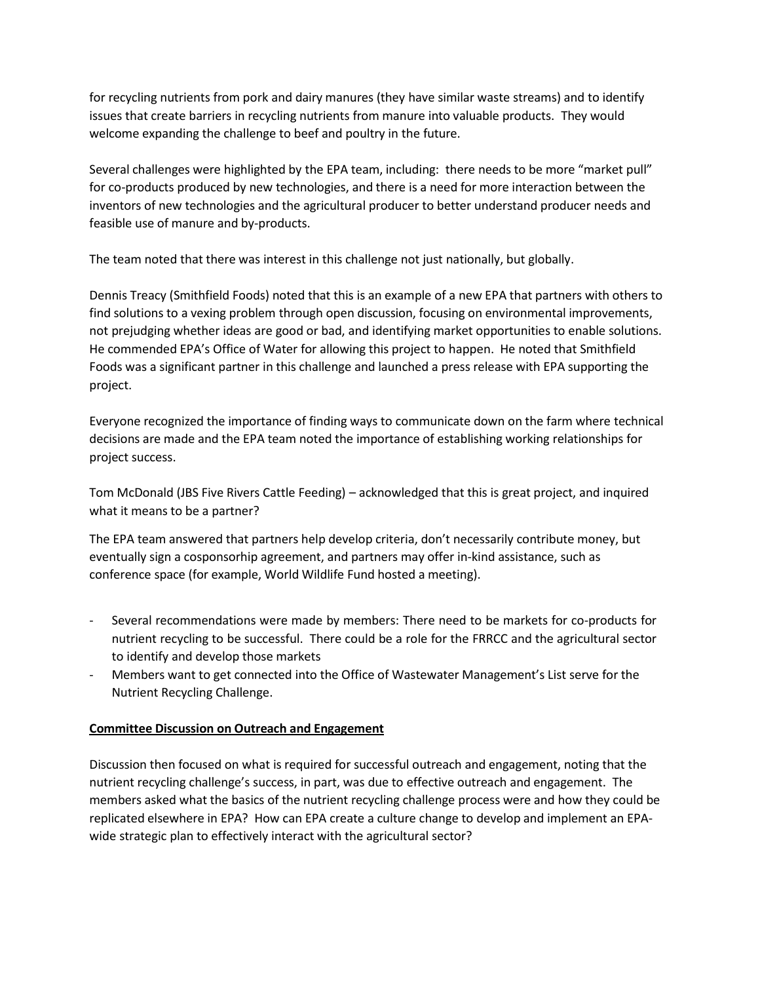for recycling nutrients from pork and dairy manures (they have similar waste streams) and to identify issues that create barriers in recycling nutrients from manure into valuable products. They would welcome expanding the challenge to beef and poultry in the future.

Several challenges were highlighted by the EPA team, including: there needs to be more "market pull" for co-products produced by new technologies, and there is a need for more interaction between the inventors of new technologies and the agricultural producer to better understand producer needs and feasible use of manure and by-products.

The team noted that there was interest in this challenge not just nationally, but globally.

Dennis Treacy (Smithfield Foods) noted that this is an example of a new EPA that partners with others to find solutions to a vexing problem through open discussion, focusing on environmental improvements, not prejudging whether ideas are good or bad, and identifying market opportunities to enable solutions. He commended EPA's Office of Water for allowing this project to happen. He noted that Smithfield Foods was a significant partner in this challenge and launched a press release with EPA supporting the project.

Everyone recognized the importance of finding ways to communicate down on the farm where technical decisions are made and the EPA team noted the importance of establishing working relationships for project success.

Tom McDonald (JBS Five Rivers Cattle Feeding) – acknowledged that this is great project, and inquired what it means to be a partner?

The EPA team answered that partners help develop criteria, don't necessarily contribute money, but eventually sign a cosponsorhip agreement, and partners may offer in-kind assistance, such as conference space (for example, World Wildlife Fund hosted a meeting).

- Several recommendations were made by members: There need to be markets for co-products for nutrient recycling to be successful. There could be a role for the FRRCC and the agricultural sector to identify and develop those markets
- Members want to get connected into the Office of Wastewater Management's List serve for the Nutrient Recycling Challenge.

# **Committee Discussion on Outreach and Engagement**

Discussion then focused on what is required for successful outreach and engagement, noting that the nutrient recycling challenge's success, in part, was due to effective outreach and engagement. The members asked what the basics of the nutrient recycling challenge process were and how they could be replicated elsewhere in EPA? How can EPA create a culture change to develop and implement an EPAwide strategic plan to effectively interact with the agricultural sector?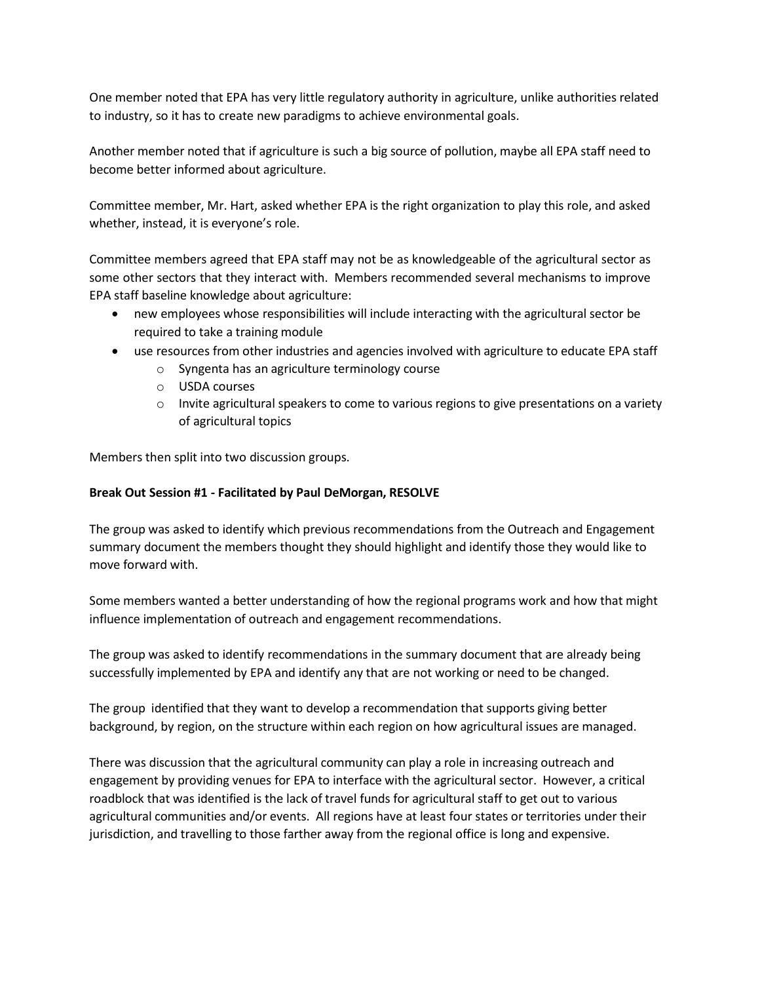One member noted that EPA has very little regulatory authority in agriculture, unlike authorities related to industry, so it has to create new paradigms to achieve environmental goals.

Another member noted that if agriculture is such a big source of pollution, maybe all EPA staff need to become better informed about agriculture.

Committee member, Mr. Hart, asked whether EPA is the right organization to play this role, and asked whether, instead, it is everyone's role.

Committee members agreed that EPA staff may not be as knowledgeable of the agricultural sector as some other sectors that they interact with. Members recommended several mechanisms to improve EPA staff baseline knowledge about agriculture:

- new employees whose responsibilities will include interacting with the agricultural sector be required to take a training module
- use resources from other industries and agencies involved with agriculture to educate EPA staff
	- o Syngenta has an agriculture terminology course
	- o USDA courses
	- o Invite agricultural speakers to come to various regions to give presentations on a variety of agricultural topics

Members then split into two discussion groups.

# **Break Out Session #1 - Facilitated by Paul DeMorgan, RESOLVE**

The group was asked to identify which previous recommendations from the Outreach and Engagement summary document the members thought they should highlight and identify those they would like to move forward with.

Some members wanted a better understanding of how the regional programs work and how that might influence implementation of outreach and engagement recommendations.

The group was asked to identify recommendations in the summary document that are already being successfully implemented by EPA and identify any that are not working or need to be changed.

The group identified that they want to develop a recommendation that supports giving better background, by region, on the structure within each region on how agricultural issues are managed.

There was discussion that the agricultural community can play a role in increasing outreach and engagement by providing venues for EPA to interface with the agricultural sector. However, a critical roadblock that was identified is the lack of travel funds for agricultural staff to get out to various agricultural communities and/or events. All regions have at least four states or territories under their jurisdiction, and travelling to those farther away from the regional office is long and expensive.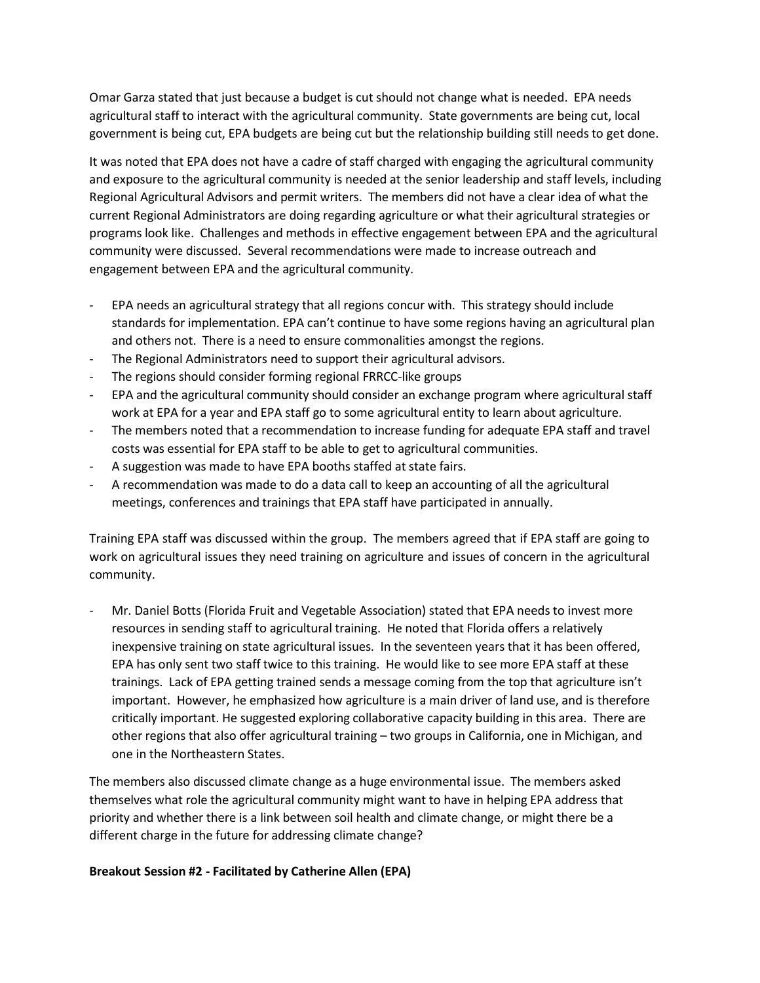Omar Garza stated that just because a budget is cut should not change what is needed. EPA needs agricultural staff to interact with the agricultural community. State governments are being cut, local government is being cut, EPA budgets are being cut but the relationship building still needs to get done.

It was noted that EPA does not have a cadre of staff charged with engaging the agricultural community and exposure to the agricultural community is needed at the senior leadership and staff levels, including Regional Agricultural Advisors and permit writers. The members did not have a clear idea of what the current Regional Administrators are doing regarding agriculture or what their agricultural strategies or programs look like. Challenges and methods in effective engagement between EPA and the agricultural community were discussed. Several recommendations were made to increase outreach and engagement between EPA and the agricultural community.

- EPA needs an agricultural strategy that all regions concur with. This strategy should include standards for implementation. EPA can't continue to have some regions having an agricultural plan and others not. There is a need to ensure commonalities amongst the regions.
- The Regional Administrators need to support their agricultural advisors.
- The regions should consider forming regional FRRCC-like groups
- EPA and the agricultural community should consider an exchange program where agricultural staff work at EPA for a year and EPA staff go to some agricultural entity to learn about agriculture.
- The members noted that a recommendation to increase funding for adequate EPA staff and travel costs was essential for EPA staff to be able to get to agricultural communities.
- A suggestion was made to have EPA booths staffed at state fairs.
- A recommendation was made to do a data call to keep an accounting of all the agricultural meetings, conferences and trainings that EPA staff have participated in annually.

Training EPA staff was discussed within the group. The members agreed that if EPA staff are going to work on agricultural issues they need training on agriculture and issues of concern in the agricultural community.

- Mr. Daniel Botts (Florida Fruit and Vegetable Association) stated that EPA needs to invest more resources in sending staff to agricultural training. He noted that Florida offers a relatively inexpensive training on state agricultural issues. In the seventeen years that it has been offered, EPA has only sent two staff twice to this training. He would like to see more EPA staff at these trainings. Lack of EPA getting trained sends a message coming from the top that agriculture isn't important. However, he emphasized how agriculture is a main driver of land use, and is therefore critically important. He suggested exploring collaborative capacity building in this area. There are other regions that also offer agricultural training – two groups in California, one in Michigan, and one in the Northeastern States.

The members also discussed climate change as a huge environmental issue. The members asked themselves what role the agricultural community might want to have in helping EPA address that priority and whether there is a link between soil health and climate change, or might there be a different charge in the future for addressing climate change?

## **Breakout Session #2 - Facilitated by Catherine Allen (EPA)**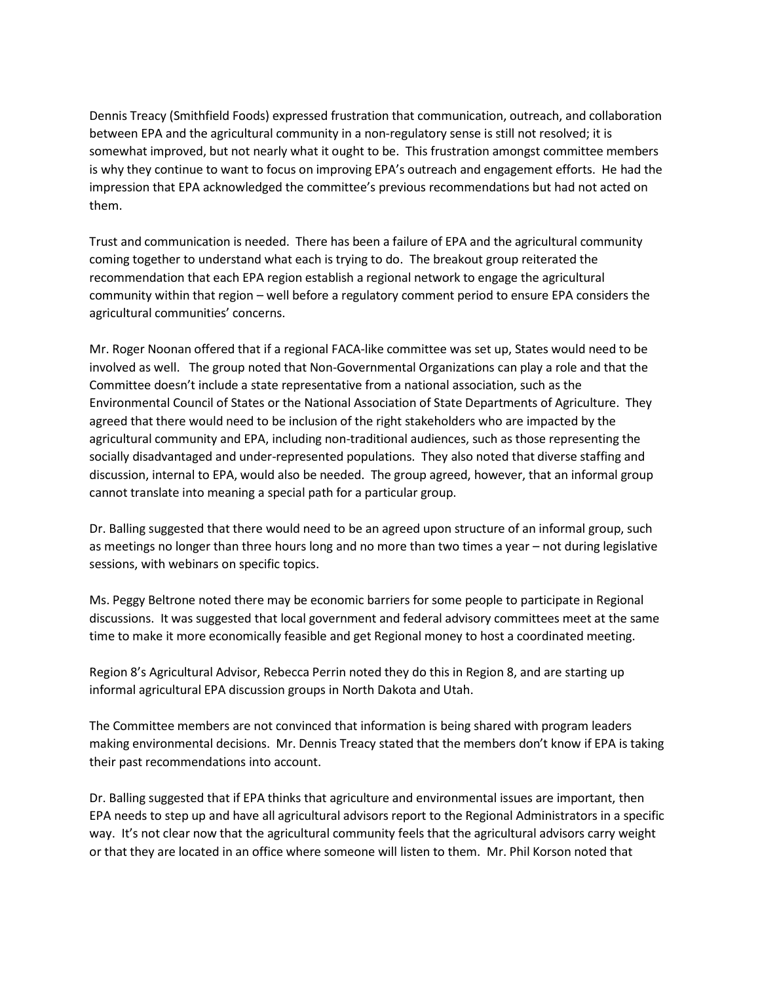Dennis Treacy (Smithfield Foods) expressed frustration that communication, outreach, and collaboration between EPA and the agricultural community in a non-regulatory sense is still not resolved; it is somewhat improved, but not nearly what it ought to be. This frustration amongst committee members is why they continue to want to focus on improving EPA's outreach and engagement efforts. He had the impression that EPA acknowledged the committee's previous recommendations but had not acted on them.

Trust and communication is needed. There has been a failure of EPA and the agricultural community coming together to understand what each is trying to do. The breakout group reiterated the recommendation that each EPA region establish a regional network to engage the agricultural community within that region – well before a regulatory comment period to ensure EPA considers the agricultural communities' concerns.

Mr. Roger Noonan offered that if a regional FACA-like committee was set up, States would need to be involved as well. The group noted that Non-Governmental Organizations can play a role and that the Committee doesn't include a state representative from a national association, such as the Environmental Council of States or the National Association of State Departments of Agriculture. They agreed that there would need to be inclusion of the right stakeholders who are impacted by the agricultural community and EPA, including non-traditional audiences, such as those representing the socially disadvantaged and under-represented populations. They also noted that diverse staffing and discussion, internal to EPA, would also be needed. The group agreed, however, that an informal group cannot translate into meaning a special path for a particular group.

Dr. Balling suggested that there would need to be an agreed upon structure of an informal group, such as meetings no longer than three hours long and no more than two times a year – not during legislative sessions, with webinars on specific topics.

Ms. Peggy Beltrone noted there may be economic barriers for some people to participate in Regional discussions. It was suggested that local government and federal advisory committees meet at the same time to make it more economically feasible and get Regional money to host a coordinated meeting.

Region 8's Agricultural Advisor, Rebecca Perrin noted they do this in Region 8, and are starting up informal agricultural EPA discussion groups in North Dakota and Utah.

The Committee members are not convinced that information is being shared with program leaders making environmental decisions. Mr. Dennis Treacy stated that the members don't know if EPA is taking their past recommendations into account.

Dr. Balling suggested that if EPA thinks that agriculture and environmental issues are important, then EPA needs to step up and have all agricultural advisors report to the Regional Administrators in a specific way. It's not clear now that the agricultural community feels that the agricultural advisors carry weight or that they are located in an office where someone will listen to them. Mr. Phil Korson noted that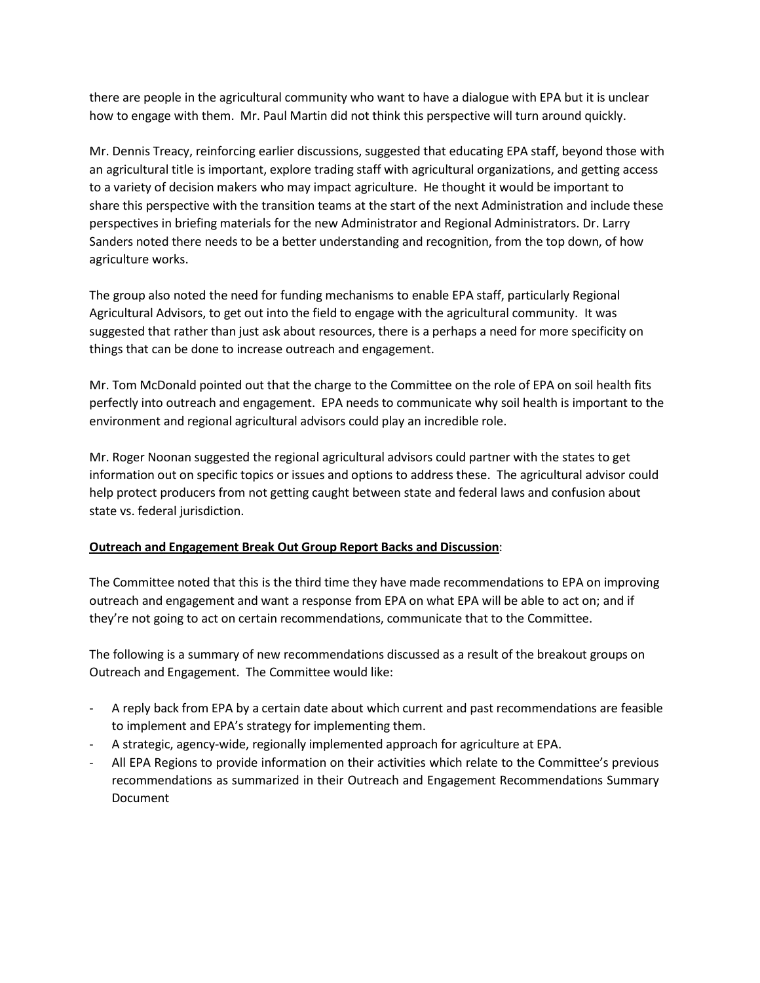there are people in the agricultural community who want to have a dialogue with EPA but it is unclear how to engage with them. Mr. Paul Martin did not think this perspective will turn around quickly.

Mr. Dennis Treacy, reinforcing earlier discussions, suggested that educating EPA staff, beyond those with an agricultural title is important, explore trading staff with agricultural organizations, and getting access to a variety of decision makers who may impact agriculture. He thought it would be important to share this perspective with the transition teams at the start of the next Administration and include these perspectives in briefing materials for the new Administrator and Regional Administrators. Dr. Larry Sanders noted there needs to be a better understanding and recognition, from the top down, of how agriculture works.

The group also noted the need for funding mechanisms to enable EPA staff, particularly Regional Agricultural Advisors, to get out into the field to engage with the agricultural community. It was suggested that rather than just ask about resources, there is a perhaps a need for more specificity on things that can be done to increase outreach and engagement.

Mr. Tom McDonald pointed out that the charge to the Committee on the role of EPA on soil health fits perfectly into outreach and engagement. EPA needs to communicate why soil health is important to the environment and regional agricultural advisors could play an incredible role.

Mr. Roger Noonan suggested the regional agricultural advisors could partner with the states to get information out on specific topics or issues and options to address these. The agricultural advisor could help protect producers from not getting caught between state and federal laws and confusion about state vs. federal jurisdiction.

# **Outreach and Engagement Break Out Group Report Backs and Discussion**:

The Committee noted that this is the third time they have made recommendations to EPA on improving outreach and engagement and want a response from EPA on what EPA will be able to act on; and if they're not going to act on certain recommendations, communicate that to the Committee.

The following is a summary of new recommendations discussed as a result of the breakout groups on Outreach and Engagement. The Committee would like:

- A reply back from EPA by a certain date about which current and past recommendations are feasible to implement and EPA's strategy for implementing them.
- A strategic, agency-wide, regionally implemented approach for agriculture at EPA.
- All EPA Regions to provide information on their activities which relate to the Committee's previous recommendations as summarized in their Outreach and Engagement Recommendations Summary Document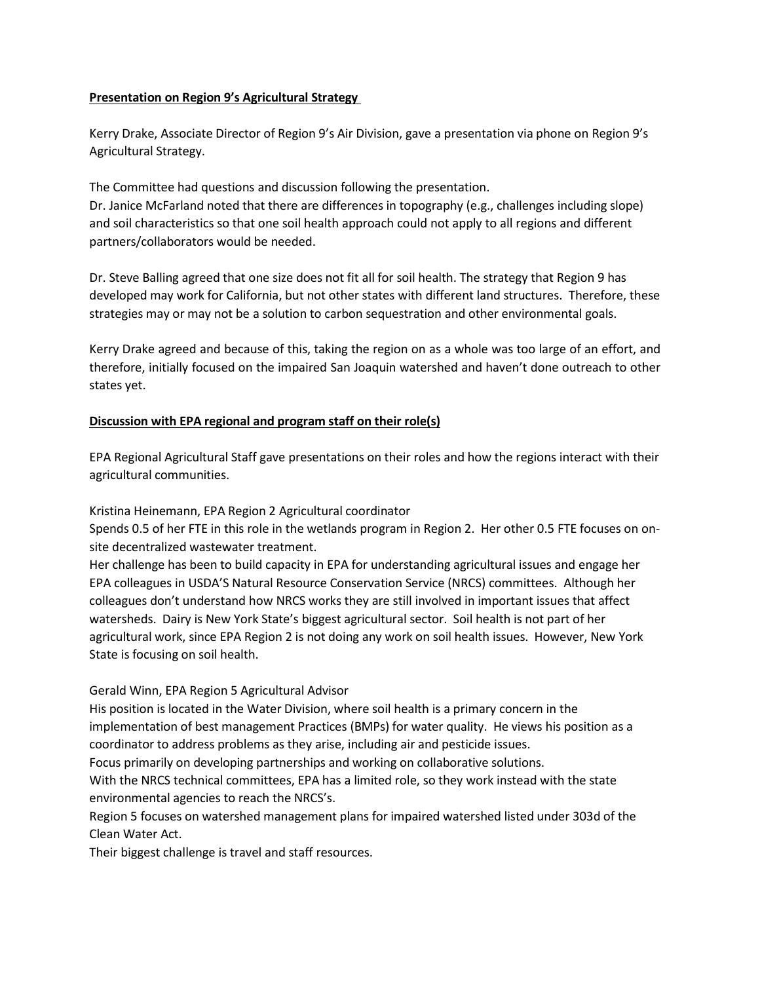## **Presentation on Region 9's Agricultural Strategy**

Kerry Drake, Associate Director of Region 9's Air Division, gave a presentation via phone on Region 9's Agricultural Strategy.

The Committee had questions and discussion following the presentation.

Dr. Janice McFarland noted that there are differences in topography (e.g., challenges including slope) and soil characteristics so that one soil health approach could not apply to all regions and different partners/collaborators would be needed.

Dr. Steve Balling agreed that one size does not fit all for soil health. The strategy that Region 9 has developed may work for California, but not other states with different land structures. Therefore, these strategies may or may not be a solution to carbon sequestration and other environmental goals.

Kerry Drake agreed and because of this, taking the region on as a whole was too large of an effort, and therefore, initially focused on the impaired San Joaquin watershed and haven't done outreach to other states yet.

# **Discussion with EPA regional and program staff on their role(s)**

EPA Regional Agricultural Staff gave presentations on their roles and how the regions interact with their agricultural communities.

Kristina Heinemann, EPA Region 2 Agricultural coordinator

Spends 0.5 of her FTE in this role in the wetlands program in Region 2. Her other 0.5 FTE focuses on onsite decentralized wastewater treatment.

Her challenge has been to build capacity in EPA for understanding agricultural issues and engage her EPA colleagues in USDA'S Natural Resource Conservation Service (NRCS) committees. Although her colleagues don't understand how NRCS works they are still involved in important issues that affect watersheds. Dairy is New York State's biggest agricultural sector. Soil health is not part of her agricultural work, since EPA Region 2 is not doing any work on soil health issues. However, New York State is focusing on soil health.

# Gerald Winn, EPA Region 5 Agricultural Advisor

His position is located in the Water Division, where soil health is a primary concern in the implementation of best management Practices (BMPs) for water quality. He views his position as a coordinator to address problems as they arise, including air and pesticide issues.

Focus primarily on developing partnerships and working on collaborative solutions.

With the NRCS technical committees, EPA has a limited role, so they work instead with the state environmental agencies to reach the NRCS's.

Region 5 focuses on watershed management plans for impaired watershed listed under 303d of the Clean Water Act.

Their biggest challenge is travel and staff resources.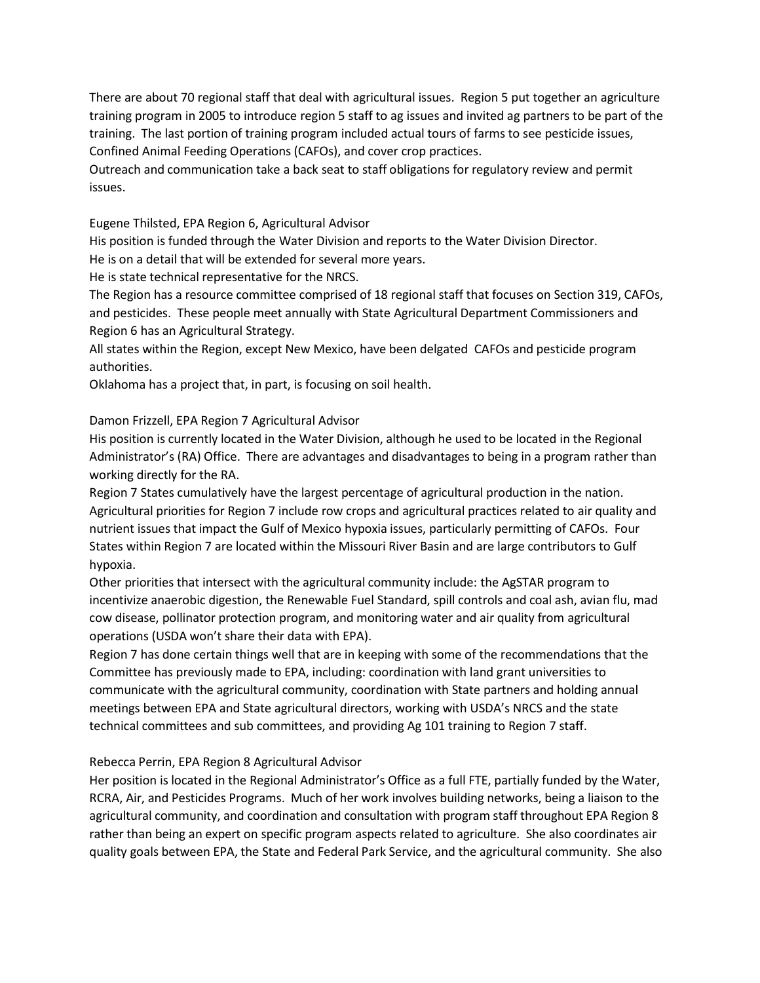There are about 70 regional staff that deal with agricultural issues. Region 5 put together an agriculture training program in 2005 to introduce region 5 staff to ag issues and invited ag partners to be part of the training. The last portion of training program included actual tours of farms to see pesticide issues, Confined Animal Feeding Operations (CAFOs), and cover crop practices.

Outreach and communication take a back seat to staff obligations for regulatory review and permit issues.

Eugene Thilsted, EPA Region 6, Agricultural Advisor

His position is funded through the Water Division and reports to the Water Division Director.

He is on a detail that will be extended for several more years.

He is state technical representative for the NRCS.

The Region has a resource committee comprised of 18 regional staff that focuses on Section 319, CAFOs, and pesticides. These people meet annually with State Agricultural Department Commissioners and Region 6 has an Agricultural Strategy.

All states within the Region, except New Mexico, have been delgated CAFOs and pesticide program authorities.

Oklahoma has a project that, in part, is focusing on soil health.

## Damon Frizzell, EPA Region 7 Agricultural Advisor

His position is currently located in the Water Division, although he used to be located in the Regional Administrator's (RA) Office. There are advantages and disadvantages to being in a program rather than working directly for the RA.

Region 7 States cumulatively have the largest percentage of agricultural production in the nation. Agricultural priorities for Region 7 include row crops and agricultural practices related to air quality and nutrient issues that impact the Gulf of Mexico hypoxia issues, particularly permitting of CAFOs. Four States within Region 7 are located within the Missouri River Basin and are large contributors to Gulf hypoxia.

Other priorities that intersect with the agricultural community include: the AgSTAR program to incentivize anaerobic digestion, the Renewable Fuel Standard, spill controls and coal ash, avian flu, mad cow disease, pollinator protection program, and monitoring water and air quality from agricultural operations (USDA won't share their data with EPA).

Region 7 has done certain things well that are in keeping with some of the recommendations that the Committee has previously made to EPA, including: coordination with land grant universities to communicate with the agricultural community, coordination with State partners and holding annual meetings between EPA and State agricultural directors, working with USDA's NRCS and the state technical committees and sub committees, and providing Ag 101 training to Region 7 staff.

## Rebecca Perrin, EPA Region 8 Agricultural Advisor

Her position is located in the Regional Administrator's Office as a full FTE, partially funded by the Water, RCRA, Air, and Pesticides Programs. Much of her work involves building networks, being a liaison to the agricultural community, and coordination and consultation with program staff throughout EPA Region 8 rather than being an expert on specific program aspects related to agriculture. She also coordinates air quality goals between EPA, the State and Federal Park Service, and the agricultural community. She also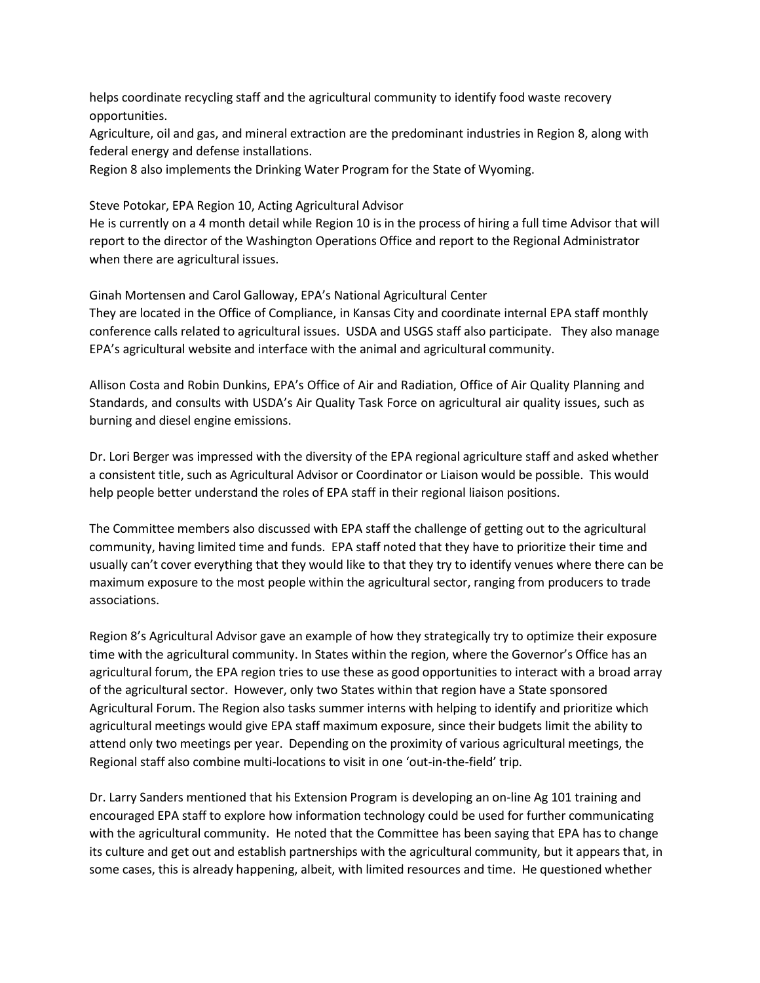helps coordinate recycling staff and the agricultural community to identify food waste recovery opportunities.

Agriculture, oil and gas, and mineral extraction are the predominant industries in Region 8, along with federal energy and defense installations.

Region 8 also implements the Drinking Water Program for the State of Wyoming.

Steve Potokar, EPA Region 10, Acting Agricultural Advisor

He is currently on a 4 month detail while Region 10 is in the process of hiring a full time Advisor that will report to the director of the Washington Operations Office and report to the Regional Administrator when there are agricultural issues.

# Ginah Mortensen and Carol Galloway, EPA's National Agricultural Center

They are located in the Office of Compliance, in Kansas City and coordinate internal EPA staff monthly conference calls related to agricultural issues. USDA and USGS staff also participate. They also manage EPA's agricultural website and interface with the animal and agricultural community.

Allison Costa and Robin Dunkins, EPA's Office of Air and Radiation, Office of Air Quality Planning and Standards, and consults with USDA's Air Quality Task Force on agricultural air quality issues, such as burning and diesel engine emissions.

Dr. Lori Berger was impressed with the diversity of the EPA regional agriculture staff and asked whether a consistent title, such as Agricultural Advisor or Coordinator or Liaison would be possible. This would help people better understand the roles of EPA staff in their regional liaison positions.

The Committee members also discussed with EPA staff the challenge of getting out to the agricultural community, having limited time and funds. EPA staff noted that they have to prioritize their time and usually can't cover everything that they would like to that they try to identify venues where there can be maximum exposure to the most people within the agricultural sector, ranging from producers to trade associations.

Region 8's Agricultural Advisor gave an example of how they strategically try to optimize their exposure time with the agricultural community. In States within the region, where the Governor's Office has an agricultural forum, the EPA region tries to use these as good opportunities to interact with a broad array of the agricultural sector. However, only two States within that region have a State sponsored Agricultural Forum. The Region also tasks summer interns with helping to identify and prioritize which agricultural meetings would give EPA staff maximum exposure, since their budgets limit the ability to attend only two meetings per year. Depending on the proximity of various agricultural meetings, the Regional staff also combine multi-locations to visit in one 'out-in-the-field' trip.

Dr. Larry Sanders mentioned that his Extension Program is developing an on-line Ag 101 training and encouraged EPA staff to explore how information technology could be used for further communicating with the agricultural community. He noted that the Committee has been saying that EPA has to change its culture and get out and establish partnerships with the agricultural community, but it appears that, in some cases, this is already happening, albeit, with limited resources and time. He questioned whether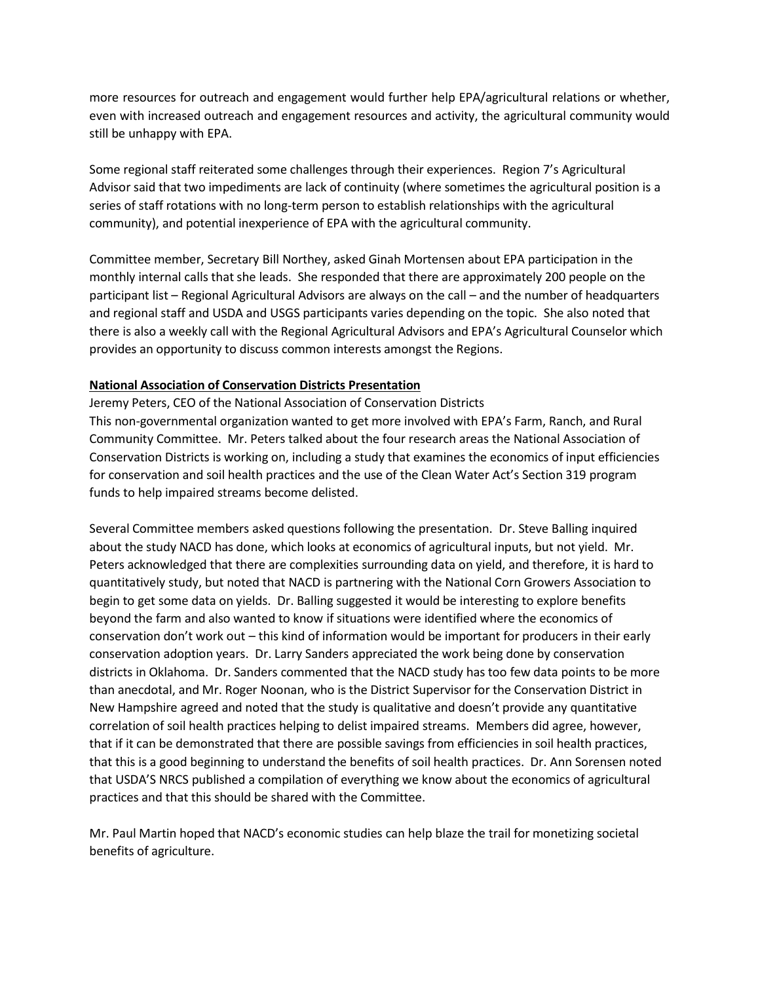more resources for outreach and engagement would further help EPA/agricultural relations or whether, even with increased outreach and engagement resources and activity, the agricultural community would still be unhappy with EPA.

Some regional staff reiterated some challenges through their experiences. Region 7's Agricultural Advisor said that two impediments are lack of continuity (where sometimes the agricultural position is a series of staff rotations with no long-term person to establish relationships with the agricultural community), and potential inexperience of EPA with the agricultural community.

Committee member, Secretary Bill Northey, asked Ginah Mortensen about EPA participation in the monthly internal calls that she leads. She responded that there are approximately 200 people on the participant list – Regional Agricultural Advisors are always on the call – and the number of headquarters and regional staff and USDA and USGS participants varies depending on the topic. She also noted that there is also a weekly call with the Regional Agricultural Advisors and EPA's Agricultural Counselor which provides an opportunity to discuss common interests amongst the Regions.

## **National Association of Conservation Districts Presentation**

Jeremy Peters, CEO of the National Association of Conservation Districts This non-governmental organization wanted to get more involved with EPA's Farm, Ranch, and Rural Community Committee. Mr. Peters talked about the four research areas the National Association of Conservation Districts is working on, including a study that examines the economics of input efficiencies for conservation and soil health practices and the use of the Clean Water Act's Section 319 program funds to help impaired streams become delisted.

Several Committee members asked questions following the presentation. Dr. Steve Balling inquired about the study NACD has done, which looks at economics of agricultural inputs, but not yield. Mr. Peters acknowledged that there are complexities surrounding data on yield, and therefore, it is hard to quantitatively study, but noted that NACD is partnering with the National Corn Growers Association to begin to get some data on yields. Dr. Balling suggested it would be interesting to explore benefits beyond the farm and also wanted to know if situations were identified where the economics of conservation don't work out – this kind of information would be important for producers in their early conservation adoption years. Dr. Larry Sanders appreciated the work being done by conservation districts in Oklahoma. Dr. Sanders commented that the NACD study has too few data points to be more than anecdotal, and Mr. Roger Noonan, who is the District Supervisor for the Conservation District in New Hampshire agreed and noted that the study is qualitative and doesn't provide any quantitative correlation of soil health practices helping to delist impaired streams. Members did agree, however, that if it can be demonstrated that there are possible savings from efficiencies in soil health practices, that this is a good beginning to understand the benefits of soil health practices. Dr. Ann Sorensen noted that USDA'S NRCS published a compilation of everything we know about the economics of agricultural practices and that this should be shared with the Committee.

Mr. Paul Martin hoped that NACD's economic studies can help blaze the trail for monetizing societal benefits of agriculture.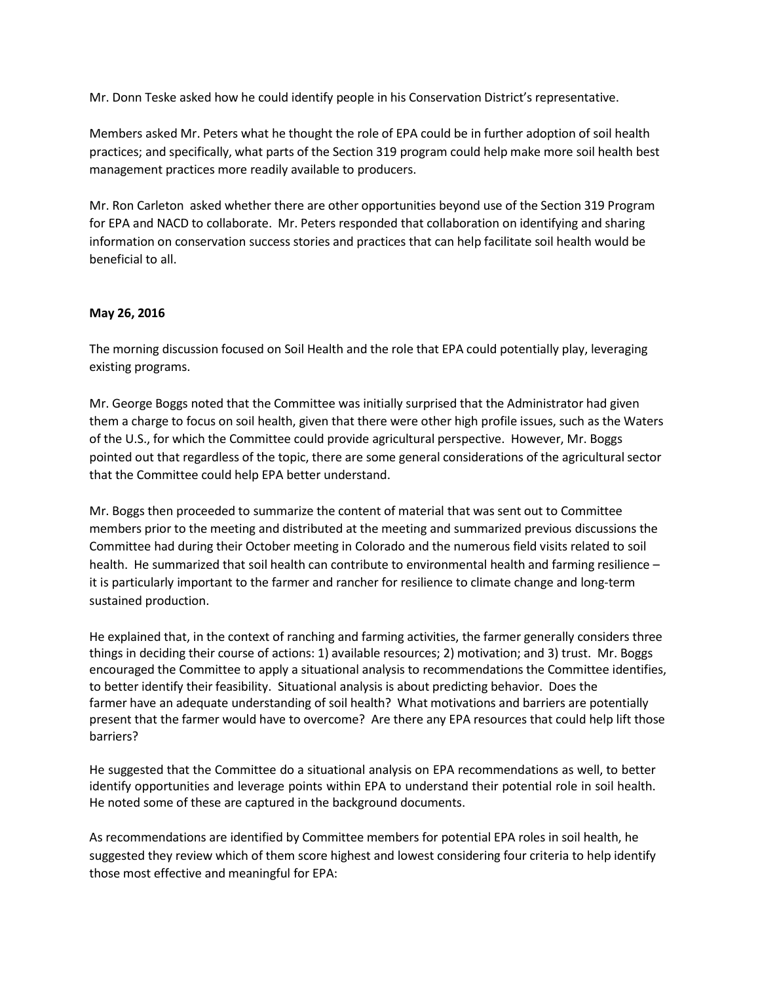Mr. Donn Teske asked how he could identify people in his Conservation District's representative.

Members asked Mr. Peters what he thought the role of EPA could be in further adoption of soil health practices; and specifically, what parts of the Section 319 program could help make more soil health best management practices more readily available to producers.

Mr. Ron Carleton asked whether there are other opportunities beyond use of the Section 319 Program for EPA and NACD to collaborate. Mr. Peters responded that collaboration on identifying and sharing information on conservation success stories and practices that can help facilitate soil health would be beneficial to all.

## **May 26, 2016**

The morning discussion focused on Soil Health and the role that EPA could potentially play, leveraging existing programs.

Mr. George Boggs noted that the Committee was initially surprised that the Administrator had given them a charge to focus on soil health, given that there were other high profile issues, such as the Waters of the U.S., for which the Committee could provide agricultural perspective. However, Mr. Boggs pointed out that regardless of the topic, there are some general considerations of the agricultural sector that the Committee could help EPA better understand.

Mr. Boggs then proceeded to summarize the content of material that was sent out to Committee members prior to the meeting and distributed at the meeting and summarized previous discussions the Committee had during their October meeting in Colorado and the numerous field visits related to soil health. He summarized that soil health can contribute to environmental health and farming resilience – it is particularly important to the farmer and rancher for resilience to climate change and long-term sustained production.

He explained that, in the context of ranching and farming activities, the farmer generally considers three things in deciding their course of actions: 1) available resources; 2) motivation; and 3) trust. Mr. Boggs encouraged the Committee to apply a situational analysis to recommendations the Committee identifies, to better identify their feasibility. Situational analysis is about predicting behavior. Does the farmer have an adequate understanding of soil health? What motivations and barriers are potentially present that the farmer would have to overcome? Are there any EPA resources that could help lift those barriers?

He suggested that the Committee do a situational analysis on EPA recommendations as well, to better identify opportunities and leverage points within EPA to understand their potential role in soil health. He noted some of these are captured in the background documents.

As recommendations are identified by Committee members for potential EPA roles in soil health, he suggested they review which of them score highest and lowest considering four criteria to help identify those most effective and meaningful for EPA: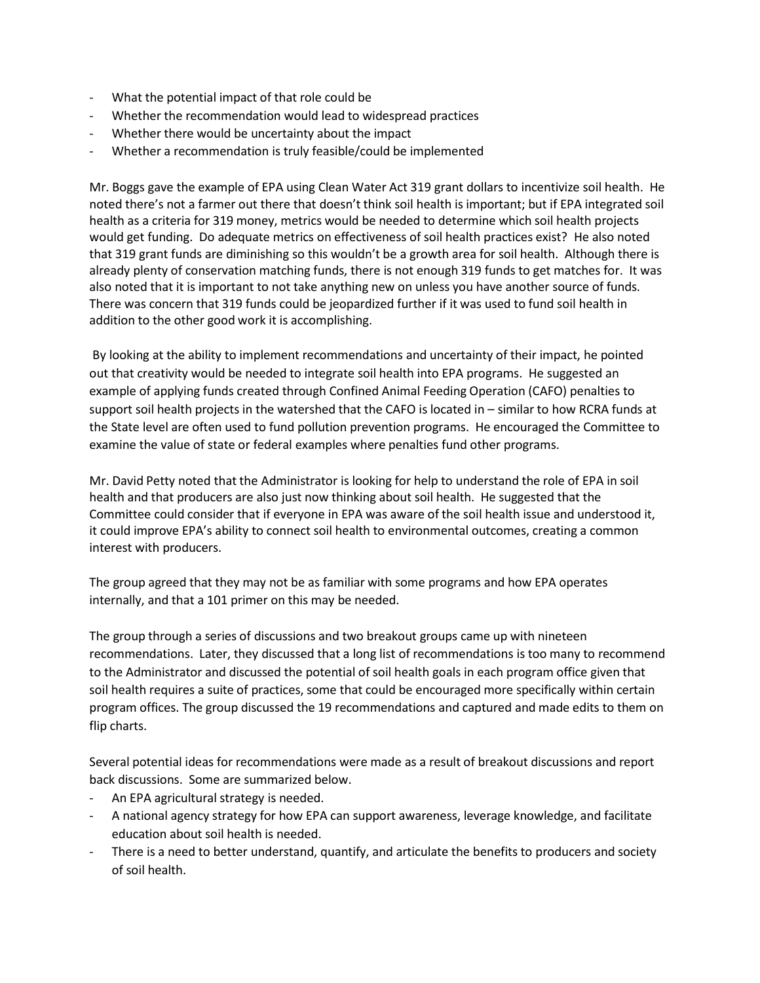- What the potential impact of that role could be
- Whether the recommendation would lead to widespread practices
- Whether there would be uncertainty about the impact
- Whether a recommendation is truly feasible/could be implemented

Mr. Boggs gave the example of EPA using Clean Water Act 319 grant dollars to incentivize soil health. He noted there's not a farmer out there that doesn't think soil health is important; but if EPA integrated soil health as a criteria for 319 money, metrics would be needed to determine which soil health projects would get funding. Do adequate metrics on effectiveness of soil health practices exist? He also noted that 319 grant funds are diminishing so this wouldn't be a growth area for soil health. Although there is already plenty of conservation matching funds, there is not enough 319 funds to get matches for. It was also noted that it is important to not take anything new on unless you have another source of funds. There was concern that 319 funds could be jeopardized further if it was used to fund soil health in addition to the other good work it is accomplishing.

By looking at the ability to implement recommendations and uncertainty of their impact, he pointed out that creativity would be needed to integrate soil health into EPA programs. He suggested an example of applying funds created through Confined Animal Feeding Operation (CAFO) penalties to support soil health projects in the watershed that the CAFO is located in – similar to how RCRA funds at the State level are often used to fund pollution prevention programs. He encouraged the Committee to examine the value of state or federal examples where penalties fund other programs.

Mr. David Petty noted that the Administrator is looking for help to understand the role of EPA in soil health and that producers are also just now thinking about soil health. He suggested that the Committee could consider that if everyone in EPA was aware of the soil health issue and understood it, it could improve EPA's ability to connect soil health to environmental outcomes, creating a common interest with producers.

The group agreed that they may not be as familiar with some programs and how EPA operates internally, and that a 101 primer on this may be needed.

The group through a series of discussions and two breakout groups came up with nineteen recommendations. Later, they discussed that a long list of recommendations is too many to recommend to the Administrator and discussed the potential of soil health goals in each program office given that soil health requires a suite of practices, some that could be encouraged more specifically within certain program offices. The group discussed the 19 recommendations and captured and made edits to them on flip charts.

Several potential ideas for recommendations were made as a result of breakout discussions and report back discussions. Some are summarized below.

- An EPA agricultural strategy is needed.
- A national agency strategy for how EPA can support awareness, leverage knowledge, and facilitate education about soil health is needed.
- There is a need to better understand, quantify, and articulate the benefits to producers and society of soil health.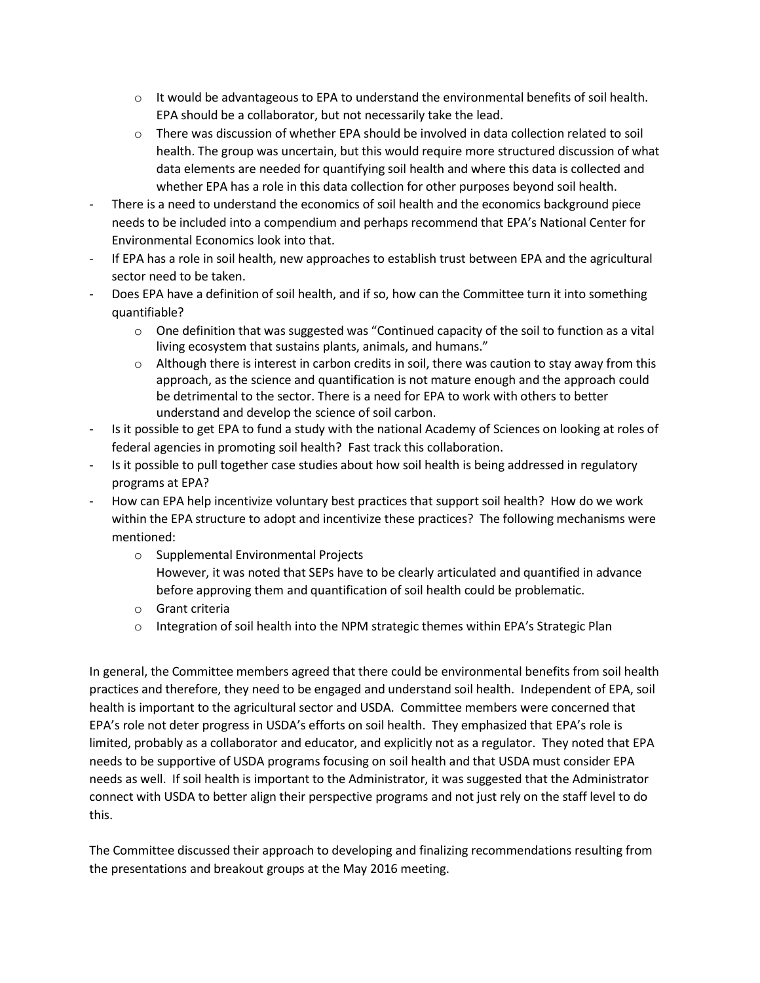- $\circ$  It would be advantageous to EPA to understand the environmental benefits of soil health. EPA should be a collaborator, but not necessarily take the lead.
- o There was discussion of whether EPA should be involved in data collection related to soil health. The group was uncertain, but this would require more structured discussion of what data elements are needed for quantifying soil health and where this data is collected and whether EPA has a role in this data collection for other purposes beyond soil health.
- There is a need to understand the economics of soil health and the economics background piece needs to be included into a compendium and perhaps recommend that EPA's National Center for Environmental Economics look into that.
- If EPA has a role in soil health, new approaches to establish trust between EPA and the agricultural sector need to be taken.
- Does EPA have a definition of soil health, and if so, how can the Committee turn it into something quantifiable?
	- $\circ$  One definition that was suggested was "Continued capacity of the soil to function as a vital living ecosystem that sustains plants, animals, and humans."
	- $\circ$  Although there is interest in carbon credits in soil, there was caution to stay away from this approach, as the science and quantification is not mature enough and the approach could be detrimental to the sector. There is a need for EPA to work with others to better understand and develop the science of soil carbon.
- Is it possible to get EPA to fund a study with the national Academy of Sciences on looking at roles of federal agencies in promoting soil health? Fast track this collaboration.
- Is it possible to pull together case studies about how soil health is being addressed in regulatory programs at EPA?
- How can EPA help incentivize voluntary best practices that support soil health? How do we work within the EPA structure to adopt and incentivize these practices? The following mechanisms were mentioned:
	- o Supplemental Environmental Projects However, it was noted that SEPs have to be clearly articulated and quantified in advance before approving them and quantification of soil health could be problematic.
	- o Grant criteria
	- $\circ$  Integration of soil health into the NPM strategic themes within EPA's Strategic Plan

In general, the Committee members agreed that there could be environmental benefits from soil health practices and therefore, they need to be engaged and understand soil health. Independent of EPA, soil health is important to the agricultural sector and USDA. Committee members were concerned that EPA's role not deter progress in USDA's efforts on soil health. They emphasized that EPA's role is limited, probably as a collaborator and educator, and explicitly not as a regulator. They noted that EPA needs to be supportive of USDA programs focusing on soil health and that USDA must consider EPA needs as well. If soil health is important to the Administrator, it was suggested that the Administrator connect with USDA to better align their perspective programs and not just rely on the staff level to do this.

The Committee discussed their approach to developing and finalizing recommendations resulting from the presentations and breakout groups at the May 2016 meeting.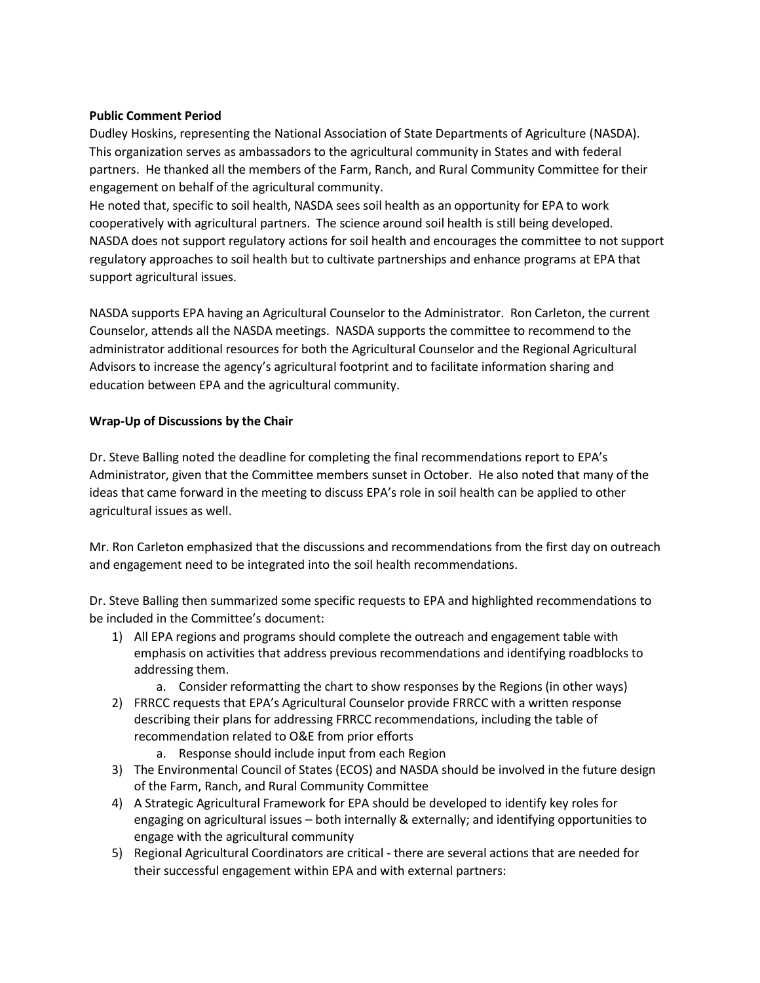## **Public Comment Period**

Dudley Hoskins, representing the National Association of State Departments of Agriculture (NASDA). This organization serves as ambassadors to the agricultural community in States and with federal partners. He thanked all the members of the Farm, Ranch, and Rural Community Committee for their engagement on behalf of the agricultural community.

He noted that, specific to soil health, NASDA sees soil health as an opportunity for EPA to work cooperatively with agricultural partners. The science around soil health is still being developed. NASDA does not support regulatory actions for soil health and encourages the committee to not support regulatory approaches to soil health but to cultivate partnerships and enhance programs at EPA that support agricultural issues.

NASDA supports EPA having an Agricultural Counselor to the Administrator. Ron Carleton, the current Counselor, attends all the NASDA meetings. NASDA supports the committee to recommend to the administrator additional resources for both the Agricultural Counselor and the Regional Agricultural Advisors to increase the agency's agricultural footprint and to facilitate information sharing and education between EPA and the agricultural community.

## **Wrap-Up of Discussions by the Chair**

Dr. Steve Balling noted the deadline for completing the final recommendations report to EPA's Administrator, given that the Committee members sunset in October. He also noted that many of the ideas that came forward in the meeting to discuss EPA's role in soil health can be applied to other agricultural issues as well.

Mr. Ron Carleton emphasized that the discussions and recommendations from the first day on outreach and engagement need to be integrated into the soil health recommendations.

Dr. Steve Balling then summarized some specific requests to EPA and highlighted recommendations to be included in the Committee's document:

- 1) All EPA regions and programs should complete the outreach and engagement table with emphasis on activities that address previous recommendations and identifying roadblocks to addressing them.
	- a. Consider reformatting the chart to show responses by the Regions (in other ways)
- 2) FRRCC requests that EPA's Agricultural Counselor provide FRRCC with a written response describing their plans for addressing FRRCC recommendations, including the table of recommendation related to O&E from prior efforts
	- a. Response should include input from each Region
- 3) The Environmental Council of States (ECOS) and NASDA should be involved in the future design of the Farm, Ranch, and Rural Community Committee
- 4) A Strategic Agricultural Framework for EPA should be developed to identify key roles for engaging on agricultural issues – both internally & externally; and identifying opportunities to engage with the agricultural community
- 5) Regional Agricultural Coordinators are critical there are several actions that are needed for their successful engagement within EPA and with external partners: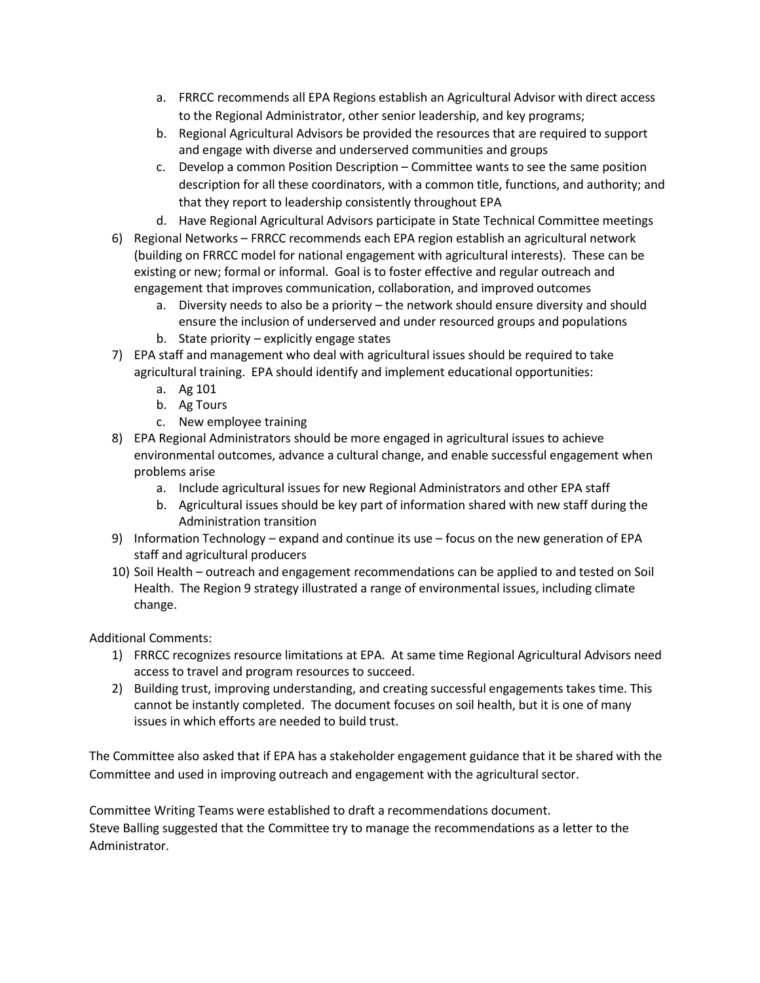- a. FRRCC recommends all EPA Regions establish an Agricultural Advisor with direct access to the Regional Administrator, other senior leadership, and key programs;
- b. Regional Agricultural Advisors be provided the resources that are required to support and engage with diverse and underserved communities and groups
- c. Develop a common Position Description Committee wants to see the same position description for all these coordinators, with a common title, functions, and authority; and that they report to leadership consistently throughout EPA
- d. Have Regional Agricultural Advisors participate in State Technical Committee meetings
- 6) Regional Networks FRRCC recommends each EPA region establish an agricultural network (building on FRRCC model for national engagement with agricultural interests). These can be existing or new; formal or informal. Goal is to foster effective and regular outreach and engagement that improves communication, collaboration, and improved outcomes
	- a. Diversity needs to also be a priority the network should ensure diversity and should ensure the inclusion of underserved and under resourced groups and populations
	- b. State priority explicitly engage states
- 7) EPA staff and management who deal with agricultural issues should be required to take agricultural training. EPA should identify and implement educational opportunities:
	- a. Ag 101
	- b. Ag Tours
	- c. New employee training
- 8) EPA Regional Administrators should be more engaged in agricultural issues to achieve environmental outcomes, advance a cultural change, and enable successful engagement when problems arise
	- a. Include agricultural issues for new Regional Administrators and other EPA staff
	- b. Agricultural issues should be key part of information shared with new staff during the Administration transition
- 9) Information Technology expand and continue its use focus on the new generation of EPA staff and agricultural producers
- 10) Soil Health outreach and engagement recommendations can be applied to and tested on Soil Health. The Region 9 strategy illustrated a range of environmental issues, including climate change.

## Additional Comments:

- 1) FRRCC recognizes resource limitations at EPA. At same time Regional Agricultural Advisors need access to travel and program resources to succeed.
- 2) Building trust, improving understanding, and creating successful engagements takes time. This cannot be instantly completed. The document focuses on soil health, but it is one of many issues in which efforts are needed to build trust.

The Committee also asked that if EPA has a stakeholder engagement guidance that it be shared with the Committee and used in improving outreach and engagement with the agricultural sector.

Committee Writing Teams were established to draft a recommendations document. Steve Balling suggested that the Committee try to manage the recommendations as a letter to the Administrator.